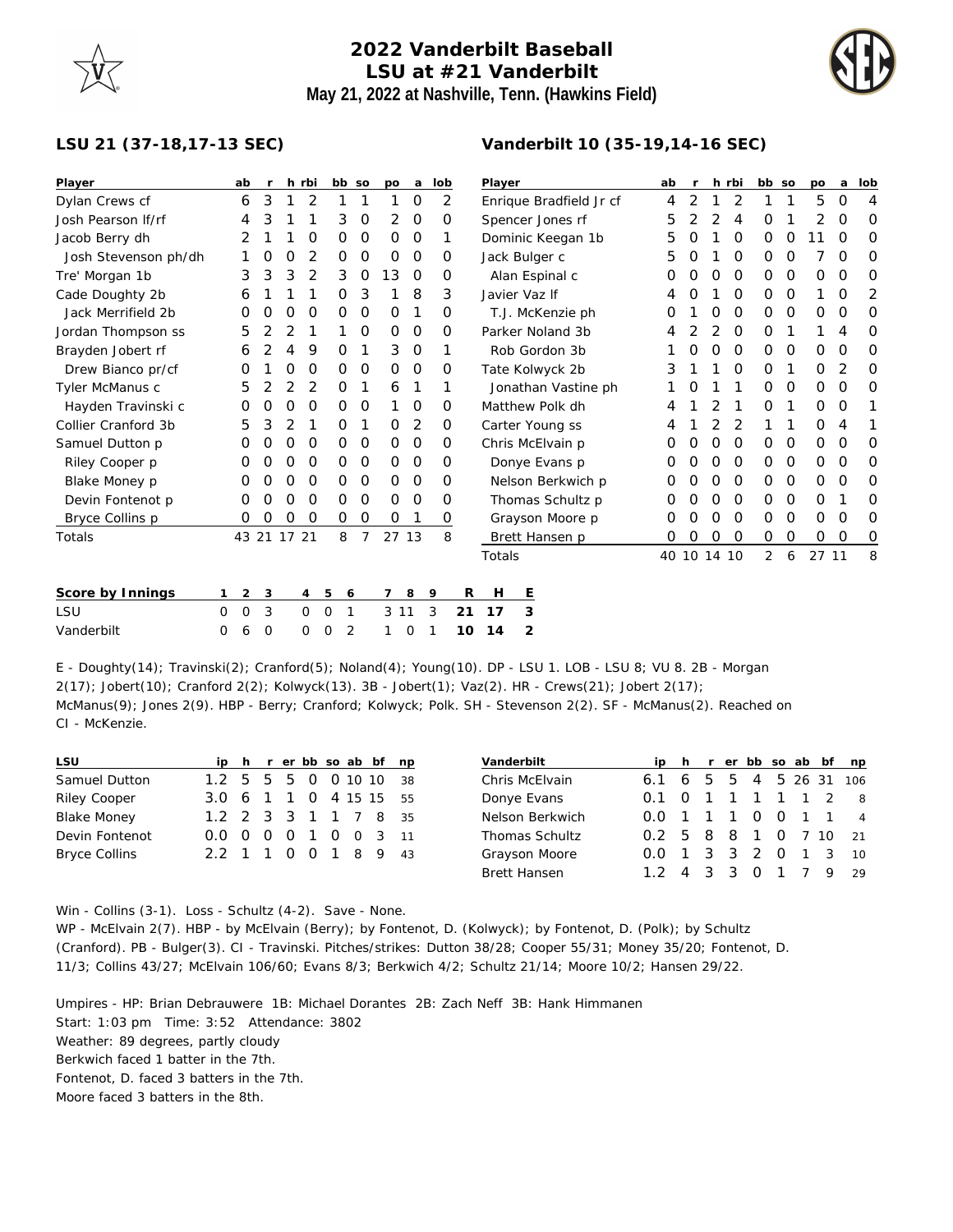## **2022 Vanderbilt Baseball LSU at #21 Vanderbilt May 21, 2022 at Nashville, Tenn. (Hawkins Field)**

**Vanderbilt 10 (35-19,14-16 SEC)**



## **LSU 21 (37-18,17-13 SEC)**

| Player               |          | ab      | r        |    | h rbi          | bb so  |                | po       | a           | lob |    | Player           |                         | ab | $\mathsf{r}$ |          | h rbi    | bb so          |   | po    | a        | lob            |
|----------------------|----------|---------|----------|----|----------------|--------|----------------|----------|-------------|-----|----|------------------|-------------------------|----|--------------|----------|----------|----------------|---|-------|----------|----------------|
| Dylan Crews cf       |          | 6       | 3        |    | 2              |        |                |          | $\Omega$    | 2   |    |                  | Enrique Bradfield Jr cf | 4  | 2            |          | 2        |                | 1 | 5     | $\Omega$ | $\overline{4}$ |
| Josh Pearson If/rf   |          | 4       | 3        |    |                | 3      | O              | 2        | 0           | 0   |    | Spencer Jones rf |                         | 5  | 2            | 2        | 4        | O              |   | 2     | 0        | $\circ$        |
| Jacob Berry dh       |          | 2       |          |    | O              | 0      | 0              | $\Omega$ | $\mathbf 0$ | 1   |    |                  | Dominic Keegan 1b       | 5  | O            |          | $\Omega$ | 0              | 0 | 11    | $\Omega$ | $\circ$        |
| Josh Stevenson ph/dh |          |         | 0        | 0  | 2              | 0      | O              | 0        | 0           | 0   |    |                  | Jack Bulger c           | 5  | O            |          | $\Omega$ | 0              | 0 |       | $\Omega$ | $\circ$        |
| Tre' Morgan 1b       |          | 3       | 3        | 3  | 2              | 3      | O              | 13       | $\circ$     | 0   |    |                  | Alan Espinal c          | Ο  |              | O        | 0        | 0              | O | 0     | 0        | 0              |
| Cade Doughty 2b      |          | 6       |          |    |                | 0      | 3              |          | 8           | 3   |    |                  | Javier Vaz If           | 4  | O            |          | $\Omega$ | 0              | 0 | 1     | O        | 2              |
| Jack Merrifield 2b   |          | O       | Ο        | O  | O              | 0      | 0              | $\Omega$ |             | 0   |    |                  | T.J. McKenzie ph        | O  |              | O        | $\Omega$ | 0              | 0 | O     | O        | $\circ$        |
| Jordan Thompson ss   |          | 5       | 2        | 2  |                |        | O              | 0        | 0           | 0   |    |                  | Parker Noland 3b        |    |              | 2        | 0        | 0              | 1 |       | 4        | 0              |
| Brayden Jobert rf    |          | 6       | 2        | 4  | 9              | 0      |                | 3        | 0           | 1   |    |                  | Rob Gordon 3b           |    |              | $\Omega$ | 0        | 0              | O | 0     | 0        | O              |
| Drew Bianco pr/cf    |          | O       |          | 0  | O              | 0      | O              | 0        | $\circ$     | 0   |    |                  | Tate Kolwyck 2b         | 3  |              |          | 0        | 0              | 1 | O     | 2        | 0              |
| Tyler McManus c      |          | 5       | 2        | 2  | 2              | 0      | 1              | 6        |             |     |    |                  | Jonathan Vastine ph     |    |              |          |          | 0              | O | 0     | 0        | 0              |
| Hayden Travinski c   |          | 0       | O        | O  | 0              | 0      | O              |          | 0           | 0   |    | Matthew Polk dh  |                         |    |              |          |          | 0              | 1 | 0     | O        | 1              |
| Collier Cranford 3b  |          | 5       | 3        | 2  |                | 0      | 1              | 0        | 2           | 0   |    |                  | Carter Young ss         | 4  |              | 2        | 2        |                | 1 | 0     | 4        |                |
| Samuel Dutton p      |          | Ο       | O        | O  | O              | 0      | 0              | 0        | $\mathbf 0$ | 0   |    |                  | Chris McElvain p        | O  | O            | $\Omega$ | $\Omega$ | 0              | 0 | 0     | 0        | 0              |
| Riley Cooper p       |          | O       | O        | O  | O              | 0      | 0              | 0        | $\mathbf 0$ | Ο   |    |                  | Donye Evans p           | Ο  | O            | $\Omega$ | 0        | 0              | 0 | 0     | O        | O              |
| Blake Money p        |          | Ο       | Ω        | O  | O              | 0      | 0              | 0        | 0           | 0   |    |                  | Nelson Berkwich p       | Ω  | O            | $\Omega$ | $\Omega$ | 0              | 0 | 0     | O        | 0              |
| Devin Fontenot p     |          | 0       | O        | O  | O              | 0      | 0              | $\Omega$ | $\circ$     | Ο   |    |                  | Thomas Schultz p        | O  |              | $\Omega$ | $\Omega$ | 0              | 0 | O     |          | $\circ$        |
| Bryce Collins p      |          | O       | O        | O  | O              | 0      | $\circ$        | 0        |             | 0   |    |                  | Grayson Moore p         | Ο  |              | O        | $\Omega$ | 0              | O | 0     | O        | 0              |
| Totals               |          | 43 21   |          | 17 | 21             | 8      | $\overline{7}$ | 27       | 13          | 8   |    |                  | Brett Hansen p          | O  | O            | O        | 0        | 0              | O | 0     | $\Omega$ | $\circ$        |
|                      |          |         |          |    |                |        |                |          |             |     |    | Totals           |                         | 40 |              | 10 14 10 |          | $\overline{2}$ | 6 | 27 11 |          | 8              |
| Score by Innings     |          | 2       | 3        |    | $\overline{4}$ | 5<br>6 |                | 7        | 8           | 9   | R  | H                | Ε                       |    |              |          |          |                |   |       |          |                |
| LSU                  | $\Omega$ | $\circ$ | 3        |    | $\circ$        | 0<br>1 |                | 3 1 1    |             | 3   | 21 | 17               | 3                       |    |              |          |          |                |   |       |          |                |
| Vanderbilt           | $\Omega$ | 6       | $\Omega$ |    | 0              | 2<br>0 |                |          | O           |     | 10 | 14               | $\overline{2}$          |    |              |          |          |                |   |       |          |                |

E - Doughty(14); Travinski(2); Cranford(5); Noland(4); Young(10). DP - LSU 1. LOB - LSU 8; VU 8. 2B - Morgan 2(17); Jobert(10); Cranford 2(2); Kolwyck(13). 3B - Jobert(1); Vaz(2). HR - Crews(21); Jobert 2(17); McManus(9); Jones 2(9). HBP - Berry; Cranford; Kolwyck; Polk. SH - Stevenson 2(2). SF - McManus(2). Reached on CI - McKenzie.

| <b>LSU</b>           |                        |  |  |  | ip h r er bb so ab bf np | Vanderbilt            |                         |  |  |  | ip h r er bb so ab bf np |
|----------------------|------------------------|--|--|--|--------------------------|-----------------------|-------------------------|--|--|--|--------------------------|
| Samuel Dutton        | 1.2 5 5 5 0 0 10 10 38 |  |  |  |                          | Chris McElvain        | 6.1 6 5 5 4 5 26 31 106 |  |  |  |                          |
| Riley Cooper         | 3.0 6 1 1 0 4 15 15 55 |  |  |  |                          | Donye Evans           | 0.1 0 1 1 1 1 1 2 8     |  |  |  |                          |
| <b>Blake Money</b>   | 1.2 2 3 3 1 1 7 8 35   |  |  |  |                          | Nelson Berkwich       | 0.0 1 1 1 0 0 1 1 4     |  |  |  |                          |
| Devin Fontenot       | 0.0 0 0 0 1 0 0 3 11   |  |  |  |                          | <b>Thomas Schultz</b> | 0.2 5 8 8 1 0 7 10 21   |  |  |  |                          |
| <b>Bryce Collins</b> | 2.2 1 1 0 0 1 8 9 43   |  |  |  |                          | Grayson Moore         | 0.0 1 3 3 2 0 1 3 10    |  |  |  |                          |
|                      |                        |  |  |  |                          | Brett Hansen          | $1.2$ 4 3 3 0           |  |  |  | 1 7 9 29                 |

Win - Collins (3-1). Loss - Schultz (4-2). Save - None. WP - McElvain 2(7). HBP - by McElvain (Berry); by Fontenot, D. (Kolwyck); by Fontenot, D. (Polk); by Schultz (Cranford). PB - Bulger(3). CI - Travinski. Pitches/strikes: Dutton 38/28; Cooper 55/31; Money 35/20; Fontenot, D. 11/3; Collins 43/27; McElvain 106/60; Evans 8/3; Berkwich 4/2; Schultz 21/14; Moore 10/2; Hansen 29/22.

Umpires - HP: Brian Debrauwere 1B: Michael Dorantes 2B: Zach Neff 3B: Hank Himmanen Start: 1:03 pm Time: 3:52 Attendance: 3802 Weather: 89 degrees, partly cloudy Berkwich faced 1 batter in the 7th. Fontenot, D. faced 3 batters in the 7th. Moore faced 3 batters in the 8th.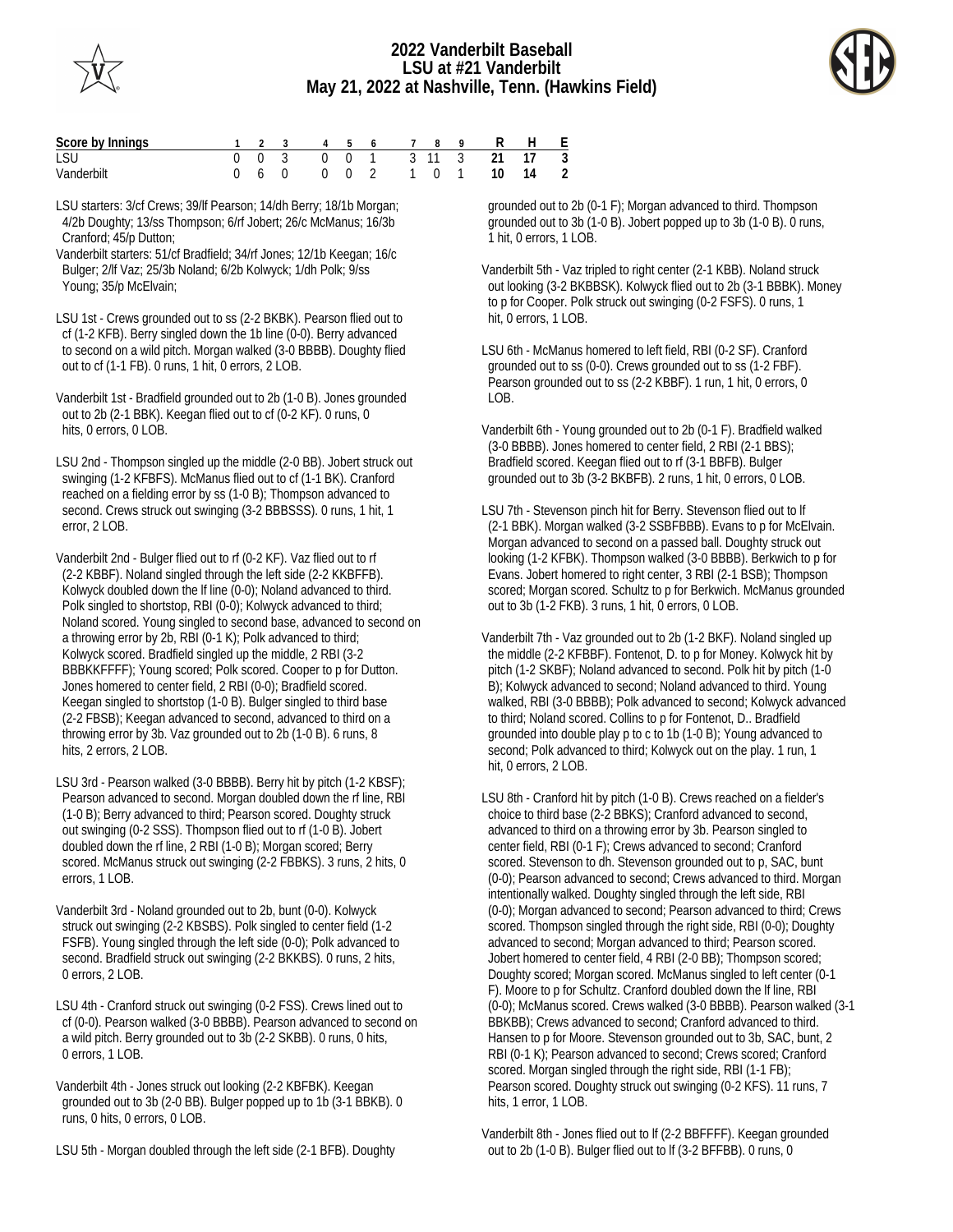



| Score by Innings |  |  |  |  | 1 2 3 4 5 6 7 8 9 R H E    |  |
|------------------|--|--|--|--|----------------------------|--|
| LSU              |  |  |  |  | 0 0 3 0 0 1 3 11 3 21 17 3 |  |
| Vanderbilt       |  |  |  |  | 0 6 0 0 0 2 1 0 1 10 14 2  |  |

LSU starters: 3/cf Crews; 39/lf Pearson; 14/dh Berry; 18/1b Morgan; 4/2b Doughty; 13/ss Thompson; 6/rf Jobert; 26/c McManus; 16/3b Cranford; 45/p Dutton;

- Vanderbilt starters: 51/cf Bradfield; 34/rf Jones; 12/1b Keegan; 16/c Bulger; 2/lf Vaz; 25/3b Noland; 6/2b Kolwyck; 1/dh Polk; 9/ss Young; 35/p McElvain;
- LSU 1st Crews grounded out to ss (2-2 BKBK). Pearson flied out to cf (1-2 KFB). Berry singled down the 1b line (0-0). Berry advanced to second on a wild pitch. Morgan walked (3-0 BBBB). Doughty flied out to cf (1-1 FB). 0 runs, 1 hit, 0 errors, 2 LOB.
- Vanderbilt 1st Bradfield grounded out to 2b (1-0 B). Jones grounded out to 2b (2-1 BBK). Keegan flied out to cf (0-2 KF). 0 runs, 0 hits, 0 errors, 0 LOB.
- LSU 2nd Thompson singled up the middle (2-0 BB). Jobert struck out swinging (1-2 KFBFS). McManus flied out to cf (1-1 BK). Cranford reached on a fielding error by ss (1-0 B); Thompson advanced to second. Crews struck out swinging (3-2 BBBSSS). 0 runs, 1 hit, 1 error, 2 LOB.
- Vanderbilt 2nd Bulger flied out to rf (0-2 KF). Vaz flied out to rf (2-2 KBBF). Noland singled through the left side (2-2 KKBFFB). Kolwyck doubled down the lf line (0-0); Noland advanced to third. Polk singled to shortstop, RBI (0-0); Kolwyck advanced to third; Noland scored. Young singled to second base, advanced to second on a throwing error by 2b, RBI (0-1 K); Polk advanced to third; Kolwyck scored. Bradfield singled up the middle, 2 RBI (3-2 BBBKKFFFF); Young scored; Polk scored. Cooper to p for Dutton. Jones homered to center field, 2 RBI (0-0); Bradfield scored. Keegan singled to shortstop (1-0 B). Bulger singled to third base (2-2 FBSB); Keegan advanced to second, advanced to third on a throwing error by 3b. Vaz grounded out to 2b (1-0 B). 6 runs, 8 hits, 2 errors, 2 LOB.
- LSU 3rd Pearson walked (3-0 BBBB). Berry hit by pitch (1-2 KBSF); Pearson advanced to second. Morgan doubled down the rf line, RBI (1-0 B); Berry advanced to third; Pearson scored. Doughty struck out swinging (0-2 SSS). Thompson flied out to rf (1-0 B). Jobert doubled down the rf line, 2 RBI (1-0 B); Morgan scored; Berry scored. McManus struck out swinging (2-2 FBBKS). 3 runs, 2 hits, 0 errors, 1 LOB.
- Vanderbilt 3rd Noland grounded out to 2b, bunt (0-0). Kolwyck struck out swinging (2-2 KBSBS). Polk singled to center field (1-2 FSFB). Young singled through the left side (0-0); Polk advanced to second. Bradfield struck out swinging (2-2 BKKBS). 0 runs, 2 hits, 0 errors, 2 LOB.
- LSU 4th Cranford struck out swinging (0-2 FSS). Crews lined out to cf (0-0). Pearson walked (3-0 BBBB). Pearson advanced to second on a wild pitch. Berry grounded out to 3b (2-2 SKBB). 0 runs, 0 hits, 0 errors, 1 LOB.
- Vanderbilt 4th Jones struck out looking (2-2 KBFBK). Keegan grounded out to 3b (2-0 BB). Bulger popped up to 1b (3-1 BBKB). 0 runs, 0 hits, 0 errors, 0 LOB.

LSU 5th - Morgan doubled through the left side (2-1 BFB). Doughty

 grounded out to 2b (0-1 F); Morgan advanced to third. Thompson grounded out to 3b (1-0 B). Jobert popped up to 3b (1-0 B). 0 runs, 1 hit, 0 errors, 1 LOB.

Vanderbilt 5th - Vaz tripled to right center (2-1 KBB). Noland struck out looking (3-2 BKBBSK). Kolwyck flied out to 2b (3-1 BBBK). Money to p for Cooper. Polk struck out swinging (0-2 FSFS). 0 runs, 1 hit, 0 errors, 1 LOB.

LSU 6th - McManus homered to left field, RBI (0-2 SF). Cranford grounded out to ss (0-0). Crews grounded out to ss (1-2 FBF). Pearson grounded out to ss (2-2 KBBF). 1 run, 1 hit, 0 errors, 0  $LOB$ .

- Vanderbilt 6th Young grounded out to 2b (0-1 F). Bradfield walked (3-0 BBBB). Jones homered to center field, 2 RBI (2-1 BBS); Bradfield scored. Keegan flied out to rf (3-1 BBFB). Bulger grounded out to 3b (3-2 BKBFB). 2 runs, 1 hit, 0 errors, 0 LOB.
- LSU 7th Stevenson pinch hit for Berry. Stevenson flied out to lf (2-1 BBK). Morgan walked (3-2 SSBFBBB). Evans to p for McElvain. Morgan advanced to second on a passed ball. Doughty struck out looking (1-2 KFBK). Thompson walked (3-0 BBBB). Berkwich to p for Evans. Jobert homered to right center, 3 RBI (2-1 BSB); Thompson scored; Morgan scored. Schultz to p for Berkwich. McManus grounded out to 3b (1-2 FKB). 3 runs, 1 hit, 0 errors, 0 LOB.
- Vanderbilt 7th Vaz grounded out to 2b (1-2 BKF). Noland singled up the middle (2-2 KFBBF). Fontenot, D. to p for Money. Kolwyck hit by pitch (1-2 SKBF); Noland advanced to second. Polk hit by pitch (1-0 B); Kolwyck advanced to second; Noland advanced to third. Young walked, RBI (3-0 BBBB); Polk advanced to second; Kolwyck advanced to third; Noland scored. Collins to p for Fontenot, D.. Bradfield grounded into double play p to c to 1b (1-0 B); Young advanced to second; Polk advanced to third; Kolwyck out on the play. 1 run, 1 hit, 0 errors, 2 LOB.
- LSU 8th Cranford hit by pitch (1-0 B). Crews reached on a fielder's choice to third base (2-2 BBKS); Cranford advanced to second, advanced to third on a throwing error by 3b. Pearson singled to center field, RBI (0-1 F); Crews advanced to second; Cranford scored. Stevenson to dh. Stevenson grounded out to p, SAC, bunt (0-0); Pearson advanced to second; Crews advanced to third. Morgan intentionally walked. Doughty singled through the left side, RBI (0-0); Morgan advanced to second; Pearson advanced to third; Crews scored. Thompson singled through the right side, RBI (0-0); Doughty advanced to second; Morgan advanced to third; Pearson scored. Jobert homered to center field, 4 RBI (2-0 BB); Thompson scored; Doughty scored; Morgan scored. McManus singled to left center (0-1 F). Moore to p for Schultz. Cranford doubled down the lf line, RBI (0-0); McManus scored. Crews walked (3-0 BBBB). Pearson walked (3-1 BBKBB); Crews advanced to second; Cranford advanced to third. Hansen to p for Moore. Stevenson grounded out to 3b, SAC, bunt, 2 RBI (0-1 K); Pearson advanced to second; Crews scored; Cranford scored. Morgan singled through the right side, RBI (1-1 FB); Pearson scored. Doughty struck out swinging (0-2 KFS). 11 runs, 7 hits, 1 error, 1 LOB.

Vanderbilt 8th - Jones flied out to lf (2-2 BBFFFF). Keegan grounded out to 2b (1-0 B). Bulger flied out to lf (3-2 BFFBB). 0 runs, 0